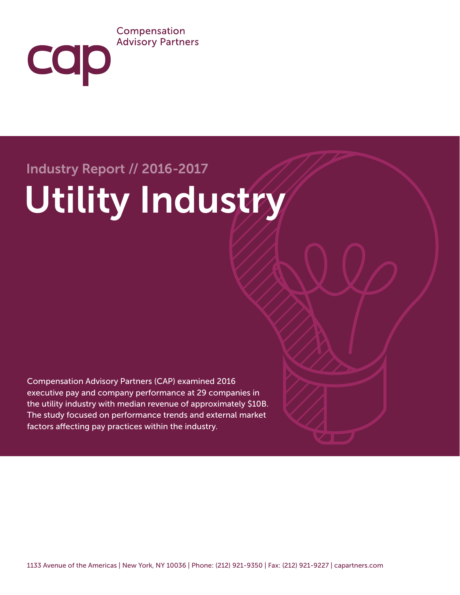#### Compensation **Advisory Partners**

# Industry Report // 2016-2017

cap

# Utility Industry

Compensation Advisory Partners (CAP) examined 2016 executive pay and company performance at 29 companies in the utility industry with median revenue of approximately \$10B. The study focused on performance trends and external market factors affecting pay practices within the industry.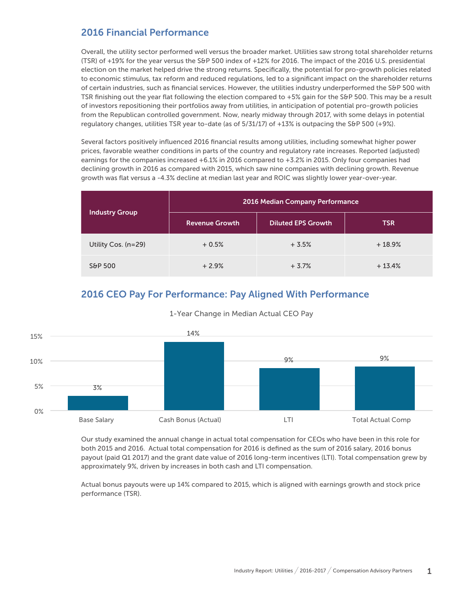# 2016 Financial Performance

Overall, the utility sector performed well versus the broader market. Utilities saw strong total shareholder returns (TSR) of +19% for the year versus the S&P 500 index of +12% for 2016. The impact of the 2016 U.S. presidential election on the market helped drive the strong returns. Specifically, the potential for pro-growth policies related to economic stimulus, tax reform and reduced regulations, led to a significant impact on the shareholder returns of certain industries, such as financial services. However, the utilities industry underperformed the S&P 500 with TSR finishing out the year flat following the election compared to +5% gain for the S&P 500. This may be a result of investors repositioning their portfolios away from utilities, in anticipation of potential pro-growth policies from the Republican controlled government. Now, nearly midway through 2017, with some delays in potential regulatory changes, utilities TSR year to-date (as of 5/31/17) of +13% is outpacing the S&P 500 (+9%).

Several factors positively influenced 2016 financial results among utilities, including somewhat higher power prices, favorable weather conditions in parts of the country and regulatory rate increases. Reported (adjusted) earnings for the companies increased +6.1% in 2016 compared to +3.2% in 2015. Only four companies had declining growth in 2016 as compared with 2015, which saw nine companies with declining growth. Revenue growth was flat versus a -4.3% decline at median last year and ROIC was slightly lower year-over-year.

| <b>Industry Group</b> | 2016 Median Company Performance |                           |            |
|-----------------------|---------------------------------|---------------------------|------------|
|                       | <b>Revenue Growth</b>           | <b>Diluted EPS Growth</b> | <b>TSR</b> |
| Utility Cos. (n=29)   | $+0.5%$                         | $+3.5%$                   | $+18.9%$   |
| S&P 500               | $+2.9%$                         | $+3.7%$                   | $+13.4%$   |

# 2016 CEO Pay For Performance: Pay Aligned With Performance



#### 1-Year Change in Median Actual CEO Pay

Our study examined the annual change in actual total compensation for CEOs who have been in this role for both 2015 and 2016. Actual total compensation for 2016 is defined as the sum of 2016 salary, 2016 bonus payout (paid Q1 2017) and the grant date value of 2016 long-term incentives (LTI). Total compensation grew by approximately 9%, driven by increases in both cash and LTI compensation.

Actual bonus payouts were up 14% compared to 2015, which is aligned with earnings growth and stock price performance (TSR).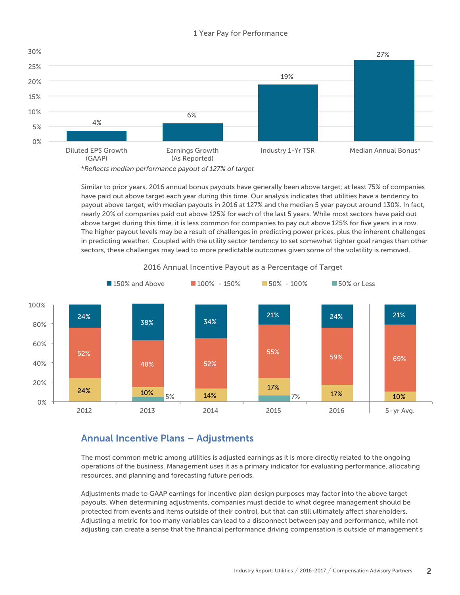#### 1 Year Pay for Performance



<sup>\*</sup>*Reflects median performance payout of 127% of target*

Similar to prior years, 2016 annual bonus payouts have generally been above target; at least 75% of companies have paid out above target each year during this time. Our analysis indicates that utilities have a tendency to payout above target, with median payouts in 2016 at 127% and the median 5 year payout around 130%. In fact, nearly 20% of companies paid out above 125% for each of the last 5 years. While most sectors have paid out above target during this time, it is less common for companies to pay out above 125% for five years in a row. The higher payout levels may be a result of challenges in predicting power prices, plus the inherent challenges in predicting weather. Coupled with the utility sector tendency to set somewhat tighter goal ranges than other sectors, these challenges may lead to more predictable outcomes given some of the volatility is removed.



2016 Annual Incentive Payout as a Percentage of Target

#### Annual Incentive Plans – Adjustments

The most common metric among utilities is adjusted earnings as it is more directly related to the ongoing operations of the business. Management uses it as a primary indicator for evaluating performance, allocating resources, and planning and forecasting future periods.

Adjustments made to GAAP earnings for incentive plan design purposes may factor into the above target payouts. When determining adjustments, companies must decide to what degree management should be protected from events and items outside of their control, but that can still ultimately affect shareholders. Adjusting a metric for too many variables can lead to a disconnect between pay and performance, while not adjusting can create a sense that the financial performance driving compensation is outside of management's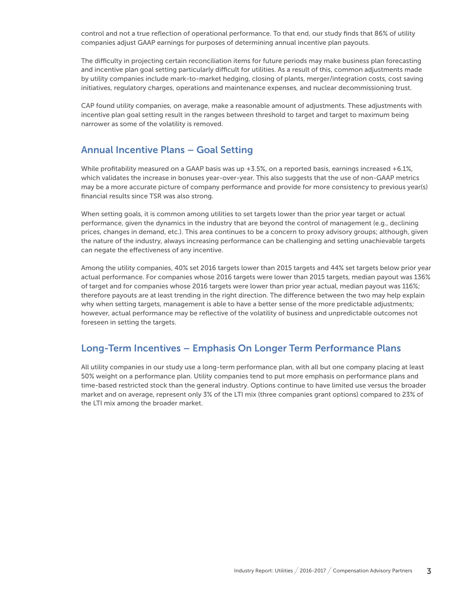control and not a true reflection of operational performance. To that end, our study finds that 86% of utility companies adjust GAAP earnings for purposes of determining annual incentive plan payouts.

The difficulty in projecting certain reconciliation items for future periods may make business plan forecasting and incentive plan goal setting particularly difficult for utilities. As a result of this, common adjustments made by utility companies include mark-to-market hedging, closing of plants, merger/integration costs, cost saving initiatives, regulatory charges, operations and maintenance expenses, and nuclear decommissioning trust.

CAP found utility companies, on average, make a reasonable amount of adjustments. These adjustments with incentive plan goal setting result in the ranges between threshold to target and target to maximum being narrower as some of the volatility is removed.

#### Annual Incentive Plans – Goal Setting

While profitability measured on a GAAP basis was up  $+3.5%$ , on a reported basis, earnings increased  $+6.1%$ , which validates the increase in bonuses year-over-year. This also suggests that the use of non-GAAP metrics may be a more accurate picture of company performance and provide for more consistency to previous year(s) financial results since TSR was also strong.

When setting goals, it is common among utilities to set targets lower than the prior year target or actual performance, given the dynamics in the industry that are beyond the control of management (e.g., declining prices, changes in demand, etc.). This area continues to be a concern to proxy advisory groups; although, given the nature of the industry, always increasing performance can be challenging and setting unachievable targets can negate the effectiveness of any incentive.

Among the utility companies, 40% set 2016 targets lower than 2015 targets and 44% set targets below prior year actual performance. For companies whose 2016 targets were lower than 2015 targets, median payout was 136% of target and for companies whose 2016 targets were lower than prior year actual, median payout was 116%; therefore payouts are at least trending in the right direction. The difference between the two may help explain why when setting targets, management is able to have a better sense of the more predictable adjustments; however, actual performance may be reflective of the volatility of business and unpredictable outcomes not foreseen in setting the targets.

### Long-Term Incentives – Emphasis On Longer Term Performance Plans

All utility companies in our study use a long-term performance plan, with all but one company placing at least 50% weight on a performance plan. Utility companies tend to put more emphasis on performance plans and time-based restricted stock than the general industry. Options continue to have limited use versus the broader market and on average, represent only 3% of the LTI mix (three companies grant options) compared to 23% of the LTI mix among the broader market.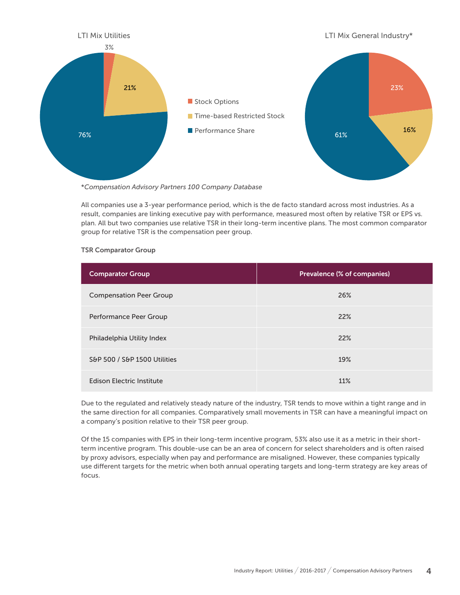

\**Compensation Advisory Partners 100 Company Database*

All companies use a 3-year performance period, which is the de facto standard across most industries. As a result, companies are linking executive pay with performance, measured most often by relative TSR or EPS vs. plan. All but two companies use relative TSR in their long-term incentive plans. The most common comparator group for relative TSR is the compensation peer group.

#### TSR Comparator Group

| <b>Comparator Group</b>        | Prevalence (% of companies) |
|--------------------------------|-----------------------------|
| <b>Compensation Peer Group</b> | 26%                         |
| Performance Peer Group         | 22%                         |
| Philadelphia Utility Index     | 22%                         |
| S&P 500 / S&P 1500 Utilities   | 19%                         |
| Edison Electric Institute      | 11%                         |

Due to the regulated and relatively steady nature of the industry, TSR tends to move within a tight range and in the same direction for all companies. Comparatively small movements in TSR can have a meaningful impact on a company's position relative to their TSR peer group.

Of the 15 companies with EPS in their long-term incentive program, 53% also use it as a metric in their shortterm incentive program. This double-use can be an area of concern for select shareholders and is often raised by proxy advisors, especially when pay and performance are misaligned. However, these companies typically use different targets for the metric when both annual operating targets and long-term strategy are key areas of focus.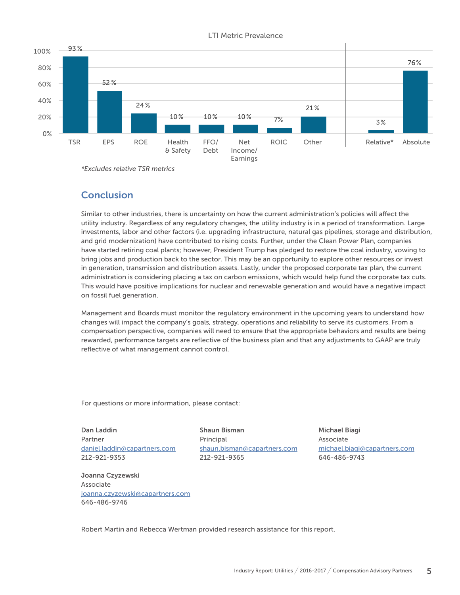

#### LTI Metric Prevalence

*\*Excludes relative TSR metrics*

#### **Conclusion**

Similar to other industries, there is uncertainty on how the current administration's policies will affect the utility industry. Regardless of any regulatory changes, the utility industry is in a period of transformation. Large investments, labor and other factors (i.e. upgrading infrastructure, natural gas pipelines, storage and distribution, and grid modernization) have contributed to rising costs. Further, under the Clean Power Plan, companies have started retiring coal plants; however, President Trump has pledged to restore the coal industry, vowing to bring jobs and production back to the sector. This may be an opportunity to explore other resources or invest in generation, transmission and distribution assets. Lastly, under the proposed corporate tax plan, the current administration is considering placing a tax on carbon emissions, which would help fund the corporate tax cuts. This would have positive implications for nuclear and renewable generation and would have a negative impact on fossil fuel generation.

Management and Boards must monitor the regulatory environment in the upcoming years to understand how changes will impact the company's goals, strategy, operations and reliability to serve its customers. From a compensation perspective, companies will need to ensure that the appropriate behaviors and results are being rewarded, performance targets are reflective of the business plan and that any adjustments to GAAP are truly reflective of what management cannot control.

For questions or more information, please contact:

Dan Laddin Partner [daniel.laddin@capartners.com](mailto:daniel.laddin@capartners.com) 212-921-9353

Shaun Bisman Principal [shaun.bisman@capartners.com](mailto:shaun.bisman@capartners.com) 212-921-9365

Michael Biagi Associate [michael.biagi@capartners.com](mailto:michael.biagi@capartners.com) 646-486-9743

Joanna Czyzewski Associate [joanna.czyzewski@capartners.com](mailto:joanna.czyzwski@capartners.com) 646-486-9746

Robert Martin and Rebecca Wertman provided research assistance for this report.